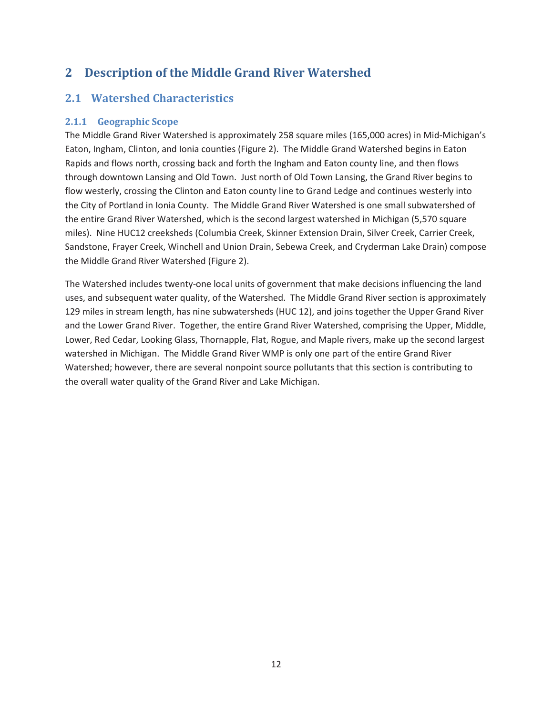# **2 Description of the Middle Grand River Watershed**

# **2.1 Watershed Characteristics**

## **2.1.1 Geographic Scope**

The Middle Grand River Watershed is approximately 258 square miles (165,000 acres) in Mid-Michigan's Eaton, Ingham, Clinton, and Ionia counties (Figure 2). The Middle Grand Watershed begins in Eaton Rapids and flows north, crossing back and forth the Ingham and Eaton county line, and then flows through downtown Lansing and Old Town. Just north of Old Town Lansing, the Grand River begins to flow westerly, crossing the Clinton and Eaton county line to Grand Ledge and continues westerly into the City of Portland in Ionia County. The Middle Grand River Watershed is one small subwatershed of the entire Grand River Watershed, which is the second largest watershed in Michigan (5,570 square miles). Nine HUC12 creeksheds (Columbia Creek, Skinner Extension Drain, Silver Creek, Carrier Creek, Sandstone, Frayer Creek, Winchell and Union Drain, Sebewa Creek, and Cryderman Lake Drain) compose the Middle Grand River Watershed (Figure 2).

The Watershed includes twenty-one local units of government that make decisions influencing the land uses, and subsequent water quality, of the Watershed. The Middle Grand River section is approximately 129 miles in stream length, has nine subwatersheds (HUC 12), and joins together the Upper Grand River and the Lower Grand River. Together, the entire Grand River Watershed, comprising the Upper, Middle, Lower, Red Cedar, Looking Glass, Thornapple, Flat, Rogue, and Maple rivers, make up the second largest watershed in Michigan. The Middle Grand River WMP is only one part of the entire Grand River Watershed; however, there are several nonpoint source pollutants that this section is contributing to the overall water quality of the Grand River and Lake Michigan.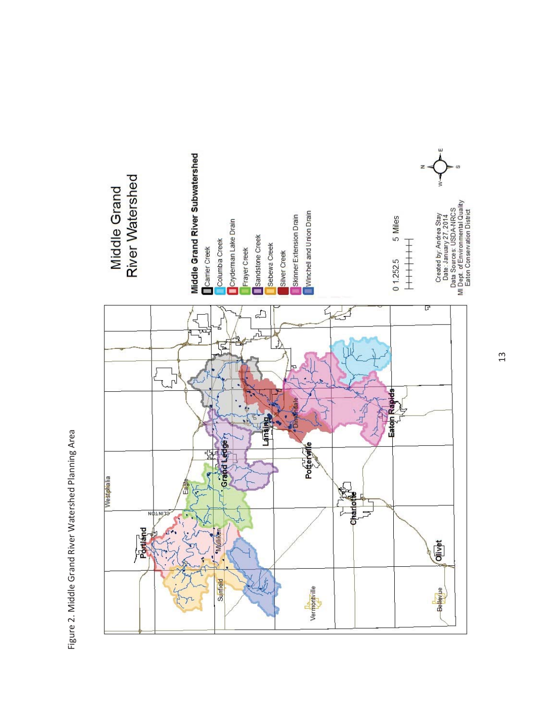







5 Miles

Created by: Andrea Stay<br>Date : January 27, 2014<br>Data Sources: USDA-NRCS<br>MI Dept. of Environmental Quality<br>Eaton Conservation District

13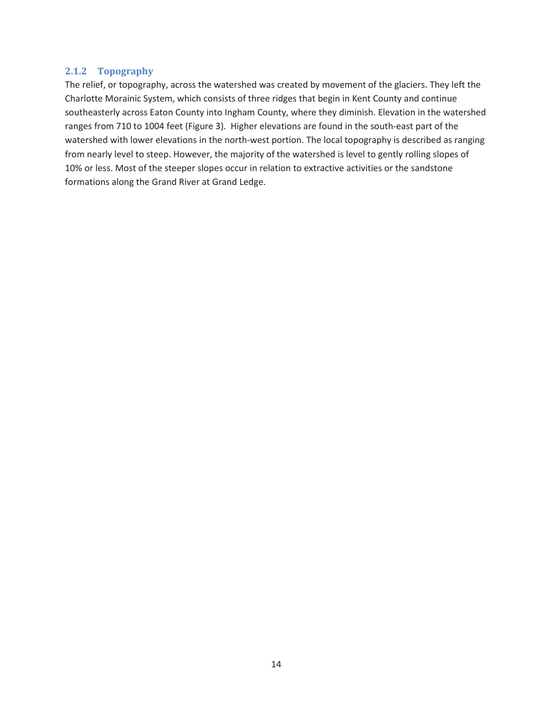#### **2.1.2 Topography**

The relief, or topography, across the watershed was created by movement of the glaciers. They left the Charlotte Morainic System, which consists of three ridges that begin in Kent County and continue southeasterly across Eaton County into Ingham County, where they diminish. Elevation in the watershed ranges from 710 to 1004 feet (Figure 3). Higher elevations are found in the south-east part of the watershed with lower elevations in the north-west portion. The local topography is described as ranging from nearly level to steep. However, the majority of the watershed is level to gently rolling slopes of 10% or less. Most of the steeper slopes occur in relation to extractive activities or the sandstone formations along the Grand River at Grand Ledge.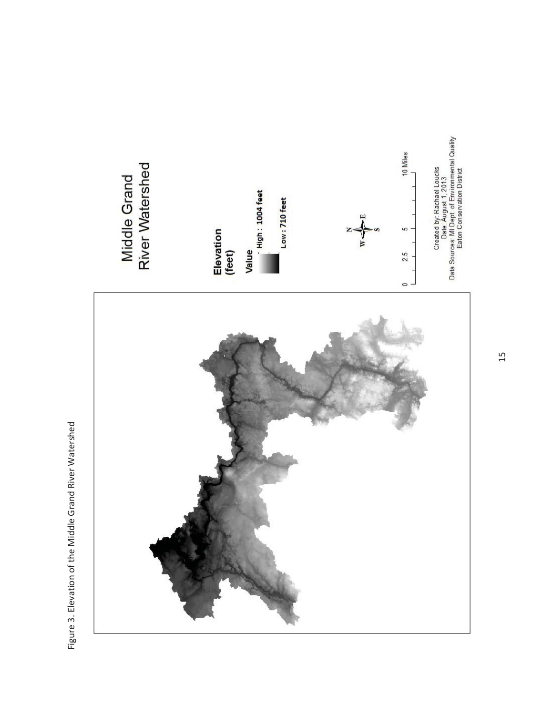

Figure 3. Elevation of the Middle Grand River Watershed Figure 3. Elevation of the Middle Grand River Watershed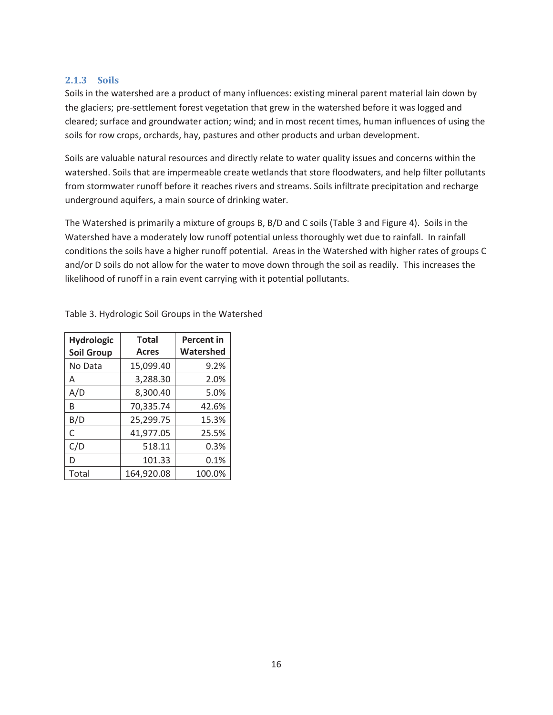#### **2.1.3 Soils**

Soils in the watershed are a product of many influences: existing mineral parent material lain down by the glaciers; pre-settlement forest vegetation that grew in the watershed before it was logged and cleared; surface and groundwater action; wind; and in most recent times, human influences of using the soils for row crops, orchards, hay, pastures and other products and urban development.

Soils are valuable natural resources and directly relate to water quality issues and concerns within the watershed. Soils that are impermeable create wetlands that store floodwaters, and help filter pollutants from stormwater runoff before it reaches rivers and streams. Soils infiltrate precipitation and recharge underground aquifers, a main source of drinking water.

The Watershed is primarily a mixture of groups B, B/D and C soils (Table 3 and Figure 4). Soils in the Watershed have a moderately low runoff potential unless thoroughly wet due to rainfall. In rainfall conditions the soils have a higher runoff potential. Areas in the Watershed with higher rates of groups C and/or D soils do not allow for the water to move down through the soil as readily. This increases the likelihood of runoff in a rain event carrying with it potential pollutants.

| <b>Hydrologic</b><br><b>Soil Group</b> | <b>Total</b><br><b>Acres</b> | <b>Percent in</b><br>Watershed |
|----------------------------------------|------------------------------|--------------------------------|
| No Data                                | 15,099.40                    | 9.2%                           |
| A                                      | 3,288.30                     | 2.0%                           |
| A/D                                    | 8,300.40                     | 5.0%                           |
| B                                      | 70,335.74                    | 42.6%                          |
| B/D                                    | 25,299.75                    | 15.3%                          |
| C                                      | 41,977.05                    | 25.5%                          |
| C/D                                    | 518.11                       | 0.3%                           |
| D                                      | 101.33                       | 0.1%                           |
| Total                                  | 164,920.08                   | 100.0%                         |

Table 3. Hydrologic Soil Groups in the Watershed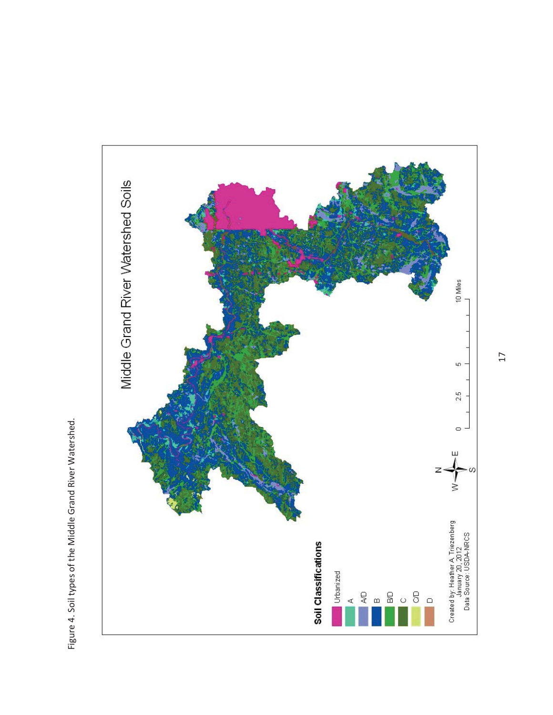

Figure 4. Soil types of the Middle Grand River Watershed. Figure 4. Soil types of the Middle Grand River Watershed.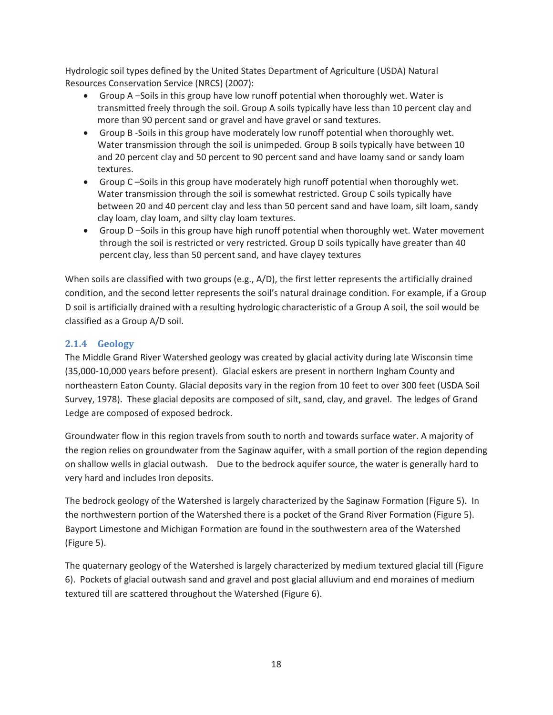Hydrologic soil types defined by the United States Department of Agriculture (USDA) Natural Resources Conservation Service (NRCS) (2007):

- $\bullet$  Group A –Soils in this group have low runoff potential when thoroughly wet. Water is transmitted freely through the soil. Group A soils typically have less than 10 percent clay and more than 90 percent sand or gravel and have gravel or sand textures.
- Group B -Soils in this group have moderately low runoff potential when thoroughly wet. Water transmission through the soil is unimpeded. Group B soils typically have between 10 and 20 percent clay and 50 percent to 90 percent sand and have loamy sand or sandy loam textures.
- Group C-Soils in this group have moderately high runoff potential when thoroughly wet. Water transmission through the soil is somewhat restricted. Group C soils typically have between 20 and 40 percent clay and less than 50 percent sand and have loam, silt loam, sandy clay loam, clay loam, and silty clay loam textures.
- Group D –Soils in this group have high runoff potential when thoroughly wet. Water movement through the soil is restricted or very restricted. Group D soils typically have greater than 40 percent clay, less than 50 percent sand, and have clayey textures

When soils are classified with two groups (e.g., A/D), the first letter represents the artificially drained condition, and the second letter represents the soil's natural drainage condition. For example, if a Group D soil is artificially drained with a resulting hydrologic characteristic of a Group A soil, the soil would be classified as a Group A/D soil.

## **2.1.4 Geology**

The Middle Grand River Watershed geology was created by glacial activity during late Wisconsin time (35,000-10,000 years before present). Glacial eskers are present in northern Ingham County and northeastern Eaton County. Glacial deposits vary in the region from 10 feet to over 300 feet (USDA Soil Survey, 1978). These glacial deposits are composed of silt, sand, clay, and gravel. The ledges of Grand Ledge are composed of exposed bedrock.

Groundwater flow in this region travels from south to north and towards surface water. A majority of the region relies on groundwater from the Saginaw aquifer, with a small portion of the region depending on shallow wells in glacial outwash. Due to the bedrock aquifer source, the water is generally hard to very hard and includes Iron deposits.

The bedrock geology of the Watershed is largely characterized by the Saginaw Formation (Figure 5). In the northwestern portion of the Watershed there is a pocket of the Grand River Formation (Figure 5). Bayport Limestone and Michigan Formation are found in the southwestern area of the Watershed (Figure 5).

The quaternary geology of the Watershed is largely characterized by medium textured glacial till (Figure 6). Pockets of glacial outwash sand and gravel and post glacial alluvium and end moraines of medium textured till are scattered throughout the Watershed (Figure 6).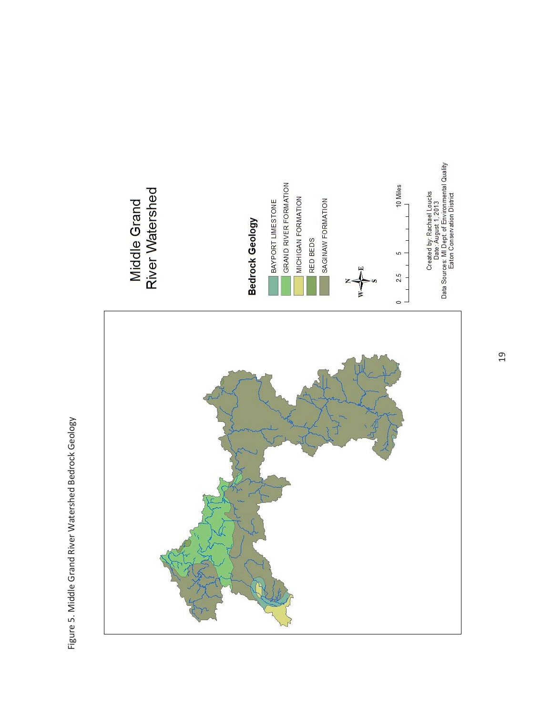Figure 5. Middle Grand River Watershed Bedrock Geology Figure 5. Middle Grand River Watershed Bedrock Geology

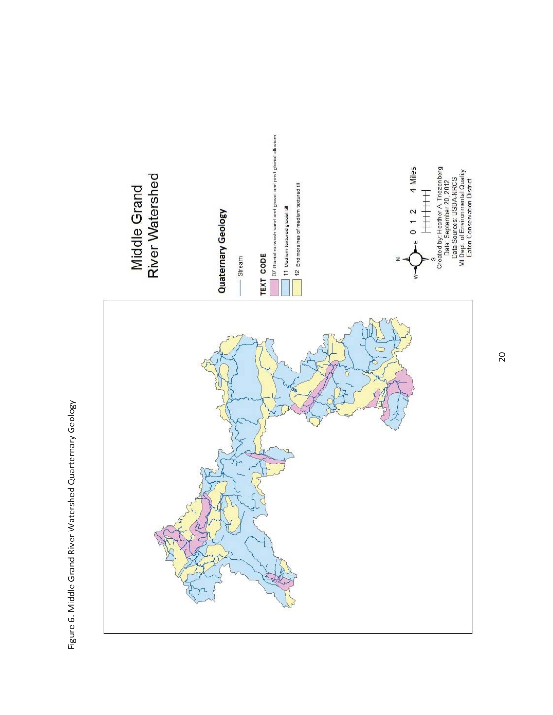

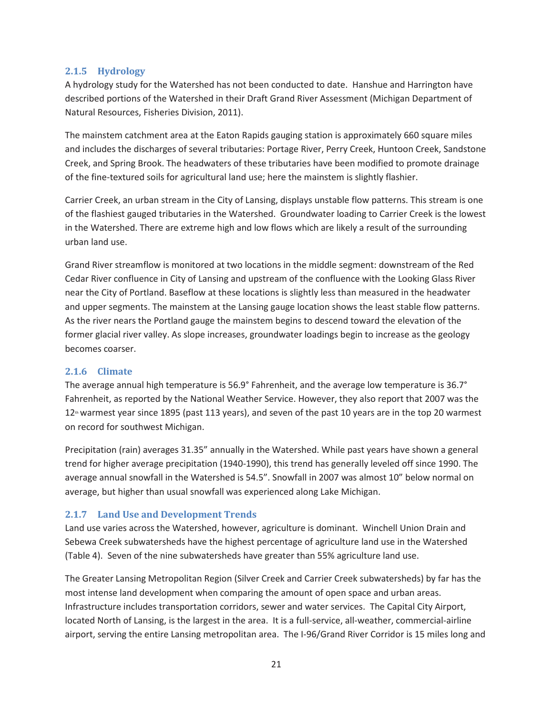#### **2.1.5 Hydrology**

A hydrology study for the Watershed has not been conducted to date. Hanshue and Harrington have described portions of the Watershed in their Draft Grand River Assessment (Michigan Department of Natural Resources, Fisheries Division, 2011).

The mainstem catchment area at the Eaton Rapids gauging station is approximately 660 square miles and includes the discharges of several tributaries: Portage River, Perry Creek, Huntoon Creek, Sandstone Creek, and Spring Brook. The headwaters of these tributaries have been modified to promote drainage of the fine-textured soils for agricultural land use; here the mainstem is slightly flashier.

Carrier Creek, an urban stream in the City of Lansing, displays unstable flow patterns. This stream is one of the flashiest gauged tributaries in the Watershed. Groundwater loading to Carrier Creek is the lowest in the Watershed. There are extreme high and low flows which are likely a result of the surrounding urban land use.

Grand River streamflow is monitored at two locations in the middle segment: downstream of the Red Cedar River confluence in City of Lansing and upstream of the confluence with the Looking Glass River near the City of Portland. Baseflow at these locations is slightly less than measured in the headwater and upper segments. The mainstem at the Lansing gauge location shows the least stable flow patterns. As the river nears the Portland gauge the mainstem begins to descend toward the elevation of the former glacial river valley. As slope increases, groundwater loadings begin to increase as the geology becomes coarser.

#### **2.1.6 Climate**

The average annual high temperature is 56.9° Fahrenheit, and the average low temperature is 36.7° Fahrenheit, as reported by the National Weather Service. However, they also report that 2007 was the  $12<sup>n</sup>$  warmest year since 1895 (past 113 years), and seven of the past 10 years are in the top 20 warmest on record for southwest Michigan.

Precipitation (rain) averages 31.35" annually in the Watershed. While past years have shown a general trend for higher average precipitation (1940-1990), this trend has generally leveled off since 1990. The average annual snowfall in the Watershed is 54.5". Snowfall in 2007 was almost 10" below normal on average, but higher than usual snowfall was experienced along Lake Michigan.

## **2.1.7 Land Use and Development Trends**

Land use varies across the Watershed, however, agriculture is dominant. Winchell Union Drain and Sebewa Creek subwatersheds have the highest percentage of agriculture land use in the Watershed (Table 4). Seven of the nine subwatersheds have greater than 55% agriculture land use.

The Greater Lansing Metropolitan Region (Silver Creek and Carrier Creek subwatersheds) by far has the most intense land development when comparing the amount of open space and urban areas. Infrastructure includes transportation corridors, sewer and water services. The Capital City Airport, located North of Lansing, is the largest in the area. It is a full-service, all-weather, commercial-airline airport, serving the entire Lansing metropolitan area. The I-96/Grand River Corridor is 15 miles long and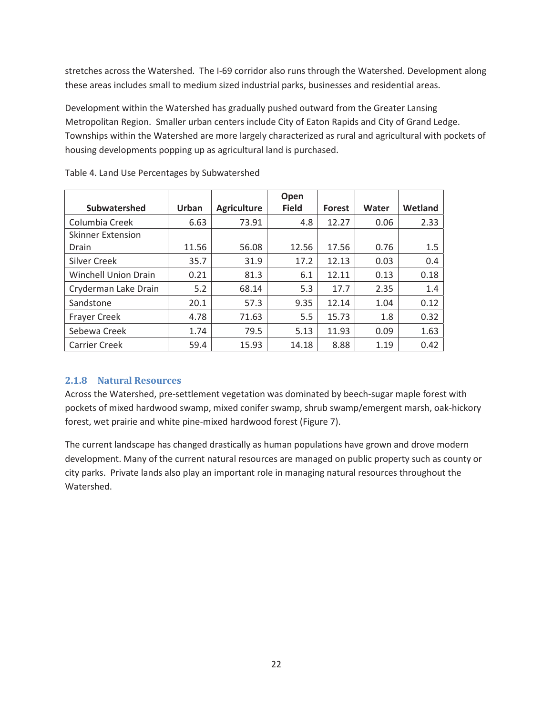stretches across the Watershed. The I-69 corridor also runs through the Watershed. Development along these areas includes small to medium sized industrial parks, businesses and residential areas.

Development within the Watershed has gradually pushed outward from the Greater Lansing Metropolitan Region. Smaller urban centers include City of Eaton Rapids and City of Grand Ledge. Townships within the Watershed are more largely characterized as rural and agricultural with pockets of housing developments popping up as agricultural land is purchased.

|                             |       |                    | Open         |               |       |         |
|-----------------------------|-------|--------------------|--------------|---------------|-------|---------|
| Subwatershed                | Urban | <b>Agriculture</b> | <b>Field</b> | <b>Forest</b> | Water | Wetland |
| Columbia Creek              | 6.63  | 73.91              | 4.8          | 12.27         | 0.06  | 2.33    |
| <b>Skinner Extension</b>    |       |                    |              |               |       |         |
| Drain                       | 11.56 | 56.08              | 12.56        | 17.56         | 0.76  | 1.5     |
| Silver Creek                | 35.7  | 31.9               | 17.2         | 12.13         | 0.03  | 0.4     |
| <b>Winchell Union Drain</b> | 0.21  | 81.3               | 6.1          | 12.11         | 0.13  | 0.18    |
| Cryderman Lake Drain        | 5.2   | 68.14              | 5.3          | 17.7          | 2.35  | 1.4     |
| Sandstone                   | 20.1  | 57.3               | 9.35         | 12.14         | 1.04  | 0.12    |
| <b>Frayer Creek</b>         | 4.78  | 71.63              | 5.5          | 15.73         | 1.8   | 0.32    |
| Sebewa Creek                | 1.74  | 79.5               | 5.13         | 11.93         | 0.09  | 1.63    |
| <b>Carrier Creek</b>        | 59.4  | 15.93              | 14.18        | 8.88          | 1.19  | 0.42    |

Table 4. Land Use Percentages by Subwatershed

## **2.1.8 Natural Resources**

Across the Watershed, pre-settlement vegetation was dominated by beech-sugar maple forest with pockets of mixed hardwood swamp, mixed conifer swamp, shrub swamp/emergent marsh, oak-hickory forest, wet prairie and white pine-mixed hardwood forest (Figure 7).

The current landscape has changed drastically as human populations have grown and drove modern development. Many of the current natural resources are managed on public property such as county or city parks. Private lands also play an important role in managing natural resources throughout the Watershed.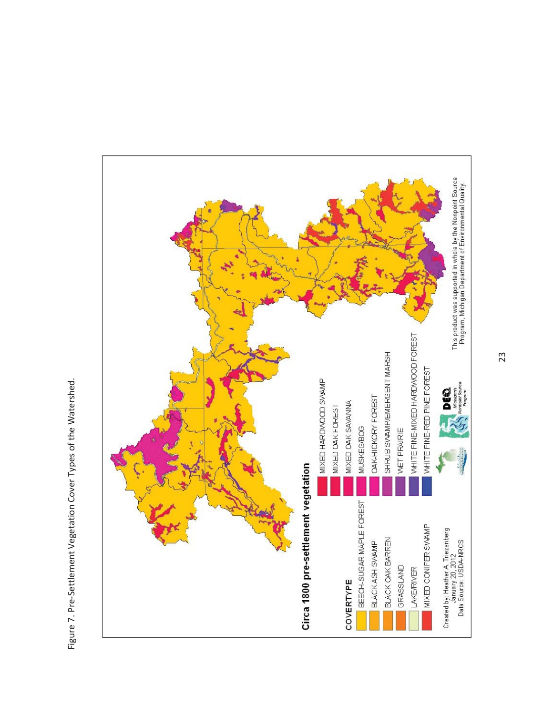

Figure 7. Pre-Settlement Vegetation Cover Types of the Watershed. Figure 7. Pre-Settlement Vegetation Cover Types of the Watershed.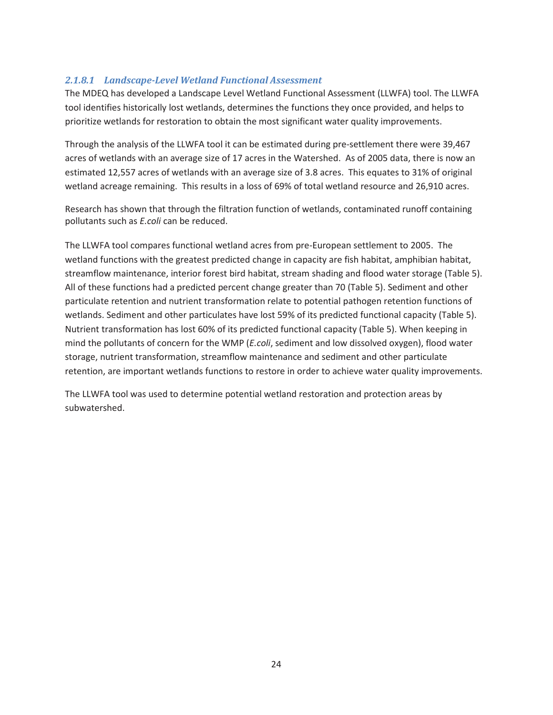## *2.1.8.1 Landscape-Level Wetland Functional Assessment*

The MDEQ has developed a Landscape Level Wetland Functional Assessment (LLWFA) tool. The LLWFA tool identifies historically lost wetlands, determines the functions they once provided, and helps to prioritize wetlands for restoration to obtain the most significant water quality improvements.

Through the analysis of the LLWFA tool it can be estimated during pre-settlement there were 39,467 acres of wetlands with an average size of 17 acres in the Watershed. As of 2005 data, there is now an estimated 12,557 acres of wetlands with an average size of 3.8 acres. This equates to 31% of original wetland acreage remaining. This results in a loss of 69% of total wetland resource and 26,910 acres.

Research has shown that through the filtration function of wetlands, contaminated runoff containing pollutants such as *E.coli* can be reduced.

The LLWFA tool compares functional wetland acres from pre-European settlement to 2005. The wetland functions with the greatest predicted change in capacity are fish habitat, amphibian habitat, streamflow maintenance, interior forest bird habitat, stream shading and flood water storage (Table 5). All of these functions had a predicted percent change greater than 70 (Table 5). Sediment and other particulate retention and nutrient transformation relate to potential pathogen retention functions of wetlands. Sediment and other particulates have lost 59% of its predicted functional capacity (Table 5). Nutrient transformation has lost 60% of its predicted functional capacity (Table 5). When keeping in mind the pollutants of concern for the WMP (*E.coli*, sediment and low dissolved oxygen), flood water storage, nutrient transformation, streamflow maintenance and sediment and other particulate retention, are important wetlands functions to restore in order to achieve water quality improvements.

The LLWFA tool was used to determine potential wetland restoration and protection areas by subwatershed.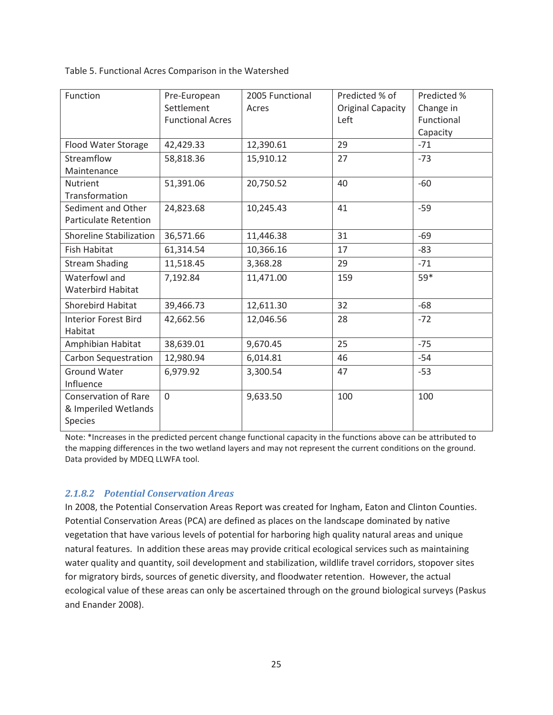Table 5. Functional Acres Comparison in the Watershed

| Function                                           | Pre-European<br>Settlement | 2005 Functional<br>Acres | Predicted % of<br><b>Original Capacity</b> | Predicted %<br>Change in |
|----------------------------------------------------|----------------------------|--------------------------|--------------------------------------------|--------------------------|
|                                                    | <b>Functional Acres</b>    |                          | Left                                       | Functional               |
|                                                    |                            |                          |                                            | Capacity                 |
| Flood Water Storage                                | 42,429.33                  | 12,390.61                | 29                                         | $-71$                    |
| Streamflow                                         | 58,818.36                  | 15,910.12                | 27                                         | $-73$                    |
| Maintenance                                        |                            |                          |                                            |                          |
| <b>Nutrient</b>                                    | 51,391.06                  | 20,750.52                | 40                                         | $-60$                    |
| Transformation                                     |                            |                          |                                            |                          |
| Sediment and Other<br><b>Particulate Retention</b> | 24,823.68                  | 10,245.43                | 41                                         | $-59$                    |
| Shoreline Stabilization                            | 36,571.66                  | 11,446.38                | 31                                         | $-69$                    |
| <b>Fish Habitat</b>                                | 61,314.54                  | 10,366.16                | 17                                         | -83                      |
| <b>Stream Shading</b>                              | 11,518.45                  | 3,368.28                 | 29                                         | $-71$                    |
| Waterfowl and                                      | 7,192.84                   | 11,471.00                | 159                                        | 59*                      |
| Waterbird Habitat                                  |                            |                          |                                            |                          |
| <b>Shorebird Habitat</b>                           | 39,466.73                  | 12,611.30                | 32                                         | $-68$                    |
| <b>Interior Forest Bird</b><br>Habitat             | 42,662.56                  | 12,046.56                | 28                                         | $-72$                    |
| Amphibian Habitat                                  | 38,639.01                  | 9,670.45                 | 25                                         | $-75$                    |
| <b>Carbon Sequestration</b>                        | 12,980.94                  | 6,014.81                 | 46                                         | $-54$                    |
| <b>Ground Water</b>                                | 6,979.92                   | 3,300.54                 | 47                                         | $-53$                    |
| Influence                                          |                            |                          |                                            |                          |
| <b>Conservation of Rare</b>                        | $\overline{0}$             | 9,633.50                 | 100                                        | 100                      |
| & Imperiled Wetlands                               |                            |                          |                                            |                          |
| Species                                            |                            |                          |                                            |                          |

Note: \*Increases in the predicted percent change functional capacity in the functions above can be attributed to the mapping differences in the two wetland layers and may not represent the current conditions on the ground. Data provided by MDEQ LLWFA tool.

## *2.1.8.2 Potential Conservation Areas*

In 2008, the Potential Conservation Areas Report was created for Ingham, Eaton and Clinton Counties. Potential Conservation Areas (PCA) are defined as places on the landscape dominated by native vegetation that have various levels of potential for harboring high quality natural areas and unique natural features. In addition these areas may provide critical ecological services such as maintaining water quality and quantity, soil development and stabilization, wildlife travel corridors, stopover sites for migratory birds, sources of genetic diversity, and floodwater retention. However, the actual ecological value of these areas can only be ascertained through on the ground biological surveys (Paskus and Enander 2008).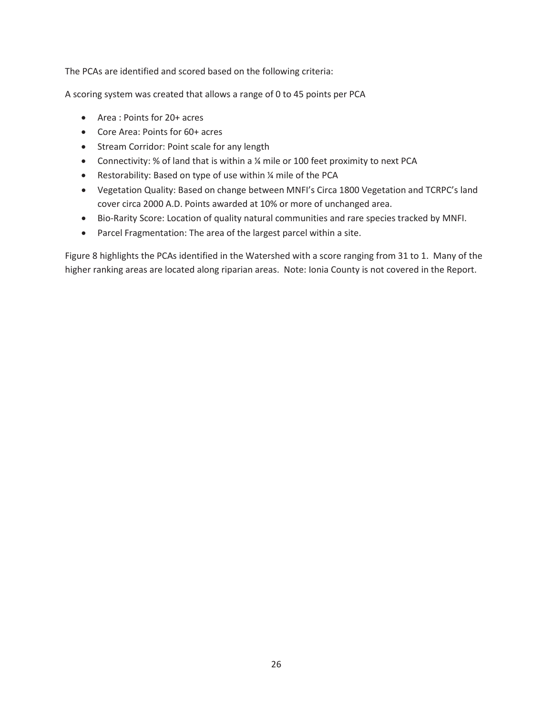The PCAs are identified and scored based on the following criteria:

A scoring system was created that allows a range of 0 to 45 points per PCA

- Area : Points for 20+ acres
- Core Area: Points for 60+ acres
- Stream Corridor: Point scale for any length
- Connectivity: % of land that is within a ¼ mile or 100 feet proximity to next PCA
- **•** Restorability: Based on type of use within  $\frac{1}{4}$  mile of the PCA
- Vegetation Quality: Based on change between MNFI's Circa 1800 Vegetation and TCRPC's land cover circa 2000 A.D. Points awarded at 10% or more of unchanged area.
- x Bio-Rarity Score: Location of quality natural communities and rare species tracked by MNFI.
- Parcel Fragmentation: The area of the largest parcel within a site.

Figure 8 highlights the PCAs identified in the Watershed with a score ranging from 31 to 1. Many of the higher ranking areas are located along riparian areas. Note: Ionia County is not covered in the Report.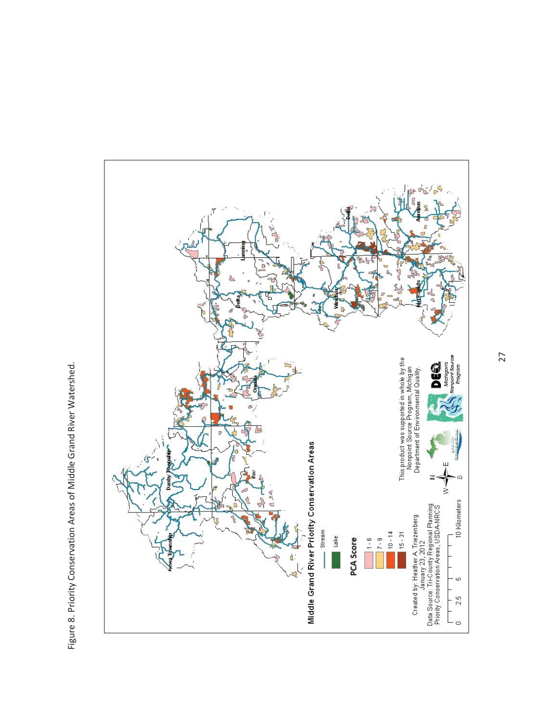

Figure 8. Priority Conservation Areas of Middle Grand River Watershed. Figure 8. Priority Conservation Areas of Middle Grand River Watershed.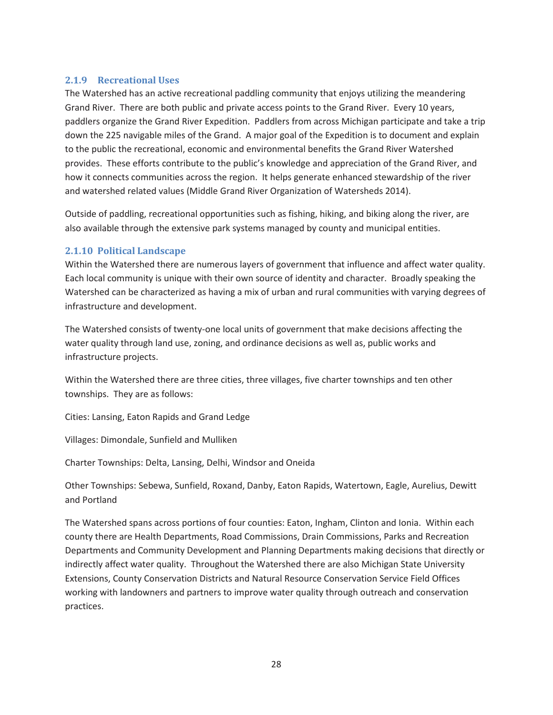#### **2.1.9 Recreational Uses**

The Watershed has an active recreational paddling community that enjoys utilizing the meandering Grand River. There are both public and private access points to the Grand River. Every 10 years, paddlers organize the Grand River Expedition. Paddlers from across Michigan participate and take a trip down the 225 navigable miles of the Grand. A major goal of the Expedition is to document and explain to the public the recreational, economic and environmental benefits the Grand River Watershed provides. These efforts contribute to the public's knowledge and appreciation of the Grand River, and how it connects communities across the region. It helps generate enhanced stewardship of the river and watershed related values (Middle Grand River Organization of Watersheds 2014).

Outside of paddling, recreational opportunities such as fishing, hiking, and biking along the river, are also available through the extensive park systems managed by county and municipal entities.

#### **2.1.10 Political Landscape**

Within the Watershed there are numerous layers of government that influence and affect water quality. Each local community is unique with their own source of identity and character. Broadly speaking the Watershed can be characterized as having a mix of urban and rural communities with varying degrees of infrastructure and development.

The Watershed consists of twenty-one local units of government that make decisions affecting the water quality through land use, zoning, and ordinance decisions as well as, public works and infrastructure projects.

Within the Watershed there are three cities, three villages, five charter townships and ten other townships. They are as follows:

Cities: Lansing, Eaton Rapids and Grand Ledge

Villages: Dimondale, Sunfield and Mulliken

Charter Townships: Delta, Lansing, Delhi, Windsor and Oneida

Other Townships: Sebewa, Sunfield, Roxand, Danby, Eaton Rapids, Watertown, Eagle, Aurelius, Dewitt and Portland

The Watershed spans across portions of four counties: Eaton, Ingham, Clinton and Ionia. Within each county there are Health Departments, Road Commissions, Drain Commissions, Parks and Recreation Departments and Community Development and Planning Departments making decisions that directly or indirectly affect water quality. Throughout the Watershed there are also Michigan State University Extensions, County Conservation Districts and Natural Resource Conservation Service Field Offices working with landowners and partners to improve water quality through outreach and conservation practices.